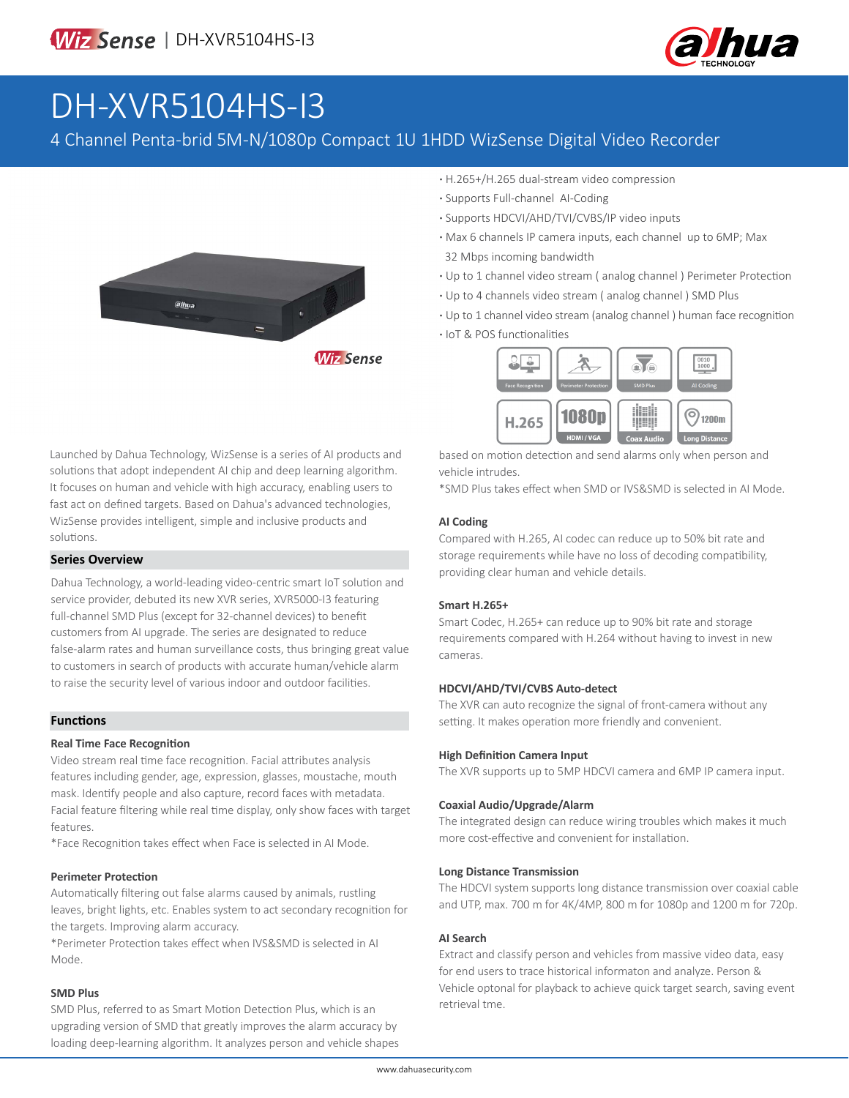

# DH-XVR5104HS-I3

### 4 Channel Penta-brid 5M-N/1080p Compact 1U 1HDD WizSense Digital Video Recorder



- **·** H.265+/H.265 dual-stream video compression
- **·** Supports Full-channel AI-Coding
- **·** Supports HDCVI/AHD/TVI/CVBS/IP video inputs
- **·** Max 6 channels IP camera inputs, each channel up to 6MP; Max 32 Mbps incoming bandwidth
- **·** Up to 1 channel video stream ( analog channel ) Perimeter Protection
- **·** Up to 4 channels video stream ( analog channel ) SMD Plus
- **·** Up to 1 channel video stream (analog channel ) human face recognition
- **·** IoT & POS functionalities



based on motion detection and send alarms only when person and vehicle intrudes.

\*SMD Plus takes effect when SMD or IVS&SMD is selected in AI Mode.

#### **AI Coding**

Compared with H.265, AI codec can reduce up to 50% bit rate and storage requirements while have no loss of decoding compatibility, providing clear human and vehicle details.

#### **Smart H.265+**

Smart Codec, H.265+ can reduce up to 90% bit rate and storage requirements compared with H.264 without having to invest in new cameras.

#### **HDCVI/AHD/TVI/CVBS Auto-detect**

The XVR can auto recognize the signal of front-camera without any setting. It makes operation more friendly and convenient.

#### **High Definition Camera Input**

The XVR supports up to 5MP HDCVI camera and 6MP IP camera input.

#### **Coaxial Audio/Upgrade/Alarm**

The integrated design can reduce wiring troubles which makes it much more cost-effective and convenient for installation.

#### **Long Distance Transmission**

The HDCVI system supports long distance transmission over coaxial cable and UTP, max. 700 m for 4K/4MP, 800 m for 1080p and 1200 m for 720p.

#### **AI Search**

Extract and classify person and vehicles from massive video data, easy for end users to trace historical informaton and analyze. Person & Vehicle optonal for playback to achieve quick target search, saving event retrieval tme.

Launched by Dahua Technology, WizSense is a series of AI products and solutions that adopt independent AI chip and deep learning algorithm. It focuses on human and vehicle with high accuracy, enabling users to fast act on defined targets. Based on Dahua's advanced technologies, WizSense provides intelligent, simple and inclusive products and solutions.

#### **Series Overview**

Dahua Technology, a world-leading video-centric smart IoT solution and service provider, debuted its new XVR series, XVR5000-I3 featuring full-channel SMD Plus (except for 32-channel devices) to benefit customers from AI upgrade. The series are designated to reduce false-alarm rates and human surveillance costs, thus bringing great value to customers in search of products with accurate human/vehicle alarm to raise the security level of various indoor and outdoor facilities.

#### **Functions**

#### **Real Time Face Recognition**

Video stream real time face recognition. Facial attributes analysis features including gender, age, expression, glasses, moustache, mouth mask. Identify people and also capture, record faces with metadata. Facial feature filtering while real time display, only show faces with target features.

\*Face Recognition takes effect when Face is selected in AI Mode.

#### **Perimeter Protection**

Automatically filtering out false alarms caused by animals, rustling leaves, bright lights, etc. Enables system to act secondary recognition for the targets. Improving alarm accuracy.

\*Perimeter Protection takes effect when IVS&SMD is selected in AI Mode.

#### **SMD Plus**

SMD Plus, referred to as Smart Motion Detection Plus, which is an upgrading version of SMD that greatly improves the alarm accuracy by loading deep-learning algorithm. It analyzes person and vehicle shapes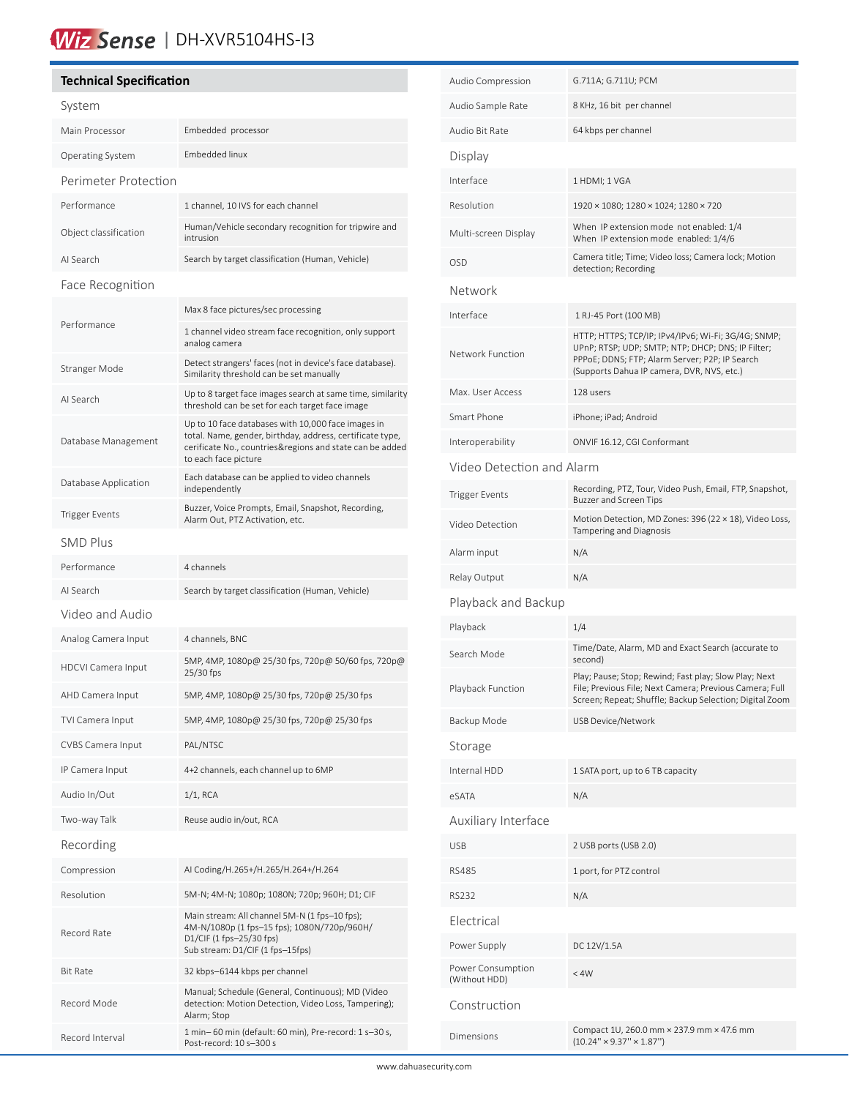# Wiz Sense | DH-XVR5104HS-I3

### **Technical Specification**

í

| System                    |                                                                                                                                                                                                     |  |  |  |
|---------------------------|-----------------------------------------------------------------------------------------------------------------------------------------------------------------------------------------------------|--|--|--|
| Main Processor            | Embedded processor                                                                                                                                                                                  |  |  |  |
| Operating System          | <b>Embedded linux</b>                                                                                                                                                                               |  |  |  |
| Perimeter Protection      |                                                                                                                                                                                                     |  |  |  |
| Performance               | 1 channel, 10 IVS for each channel                                                                                                                                                                  |  |  |  |
| Object classification     | Human/Vehicle secondary recognition for tripwire and<br>intrusion                                                                                                                                   |  |  |  |
| AI Search                 | Search by target classification (Human, Vehicle)                                                                                                                                                    |  |  |  |
| Face Recognition          |                                                                                                                                                                                                     |  |  |  |
|                           | Max 8 face pictures/sec processing                                                                                                                                                                  |  |  |  |
| Performance               | 1 channel video stream face recognition, only support<br>analog camera                                                                                                                              |  |  |  |
| Stranger Mode             | Detect strangers' faces (not in device's face database).<br>Similarity threshold can be set manually                                                                                                |  |  |  |
| AI Search                 | Up to 8 target face images search at same time, similarity<br>threshold can be set for each target face image                                                                                       |  |  |  |
| Database Management       | Up to 10 face databases with 10,000 face images in<br>total. Name, gender, birthday, address, certificate type,<br>cerificate No., countries&regions and state can be added<br>to each face picture |  |  |  |
| Database Application      | Each database can be applied to video channels<br>independently                                                                                                                                     |  |  |  |
| Trigger Events            | Buzzer, Voice Prompts, Email, Snapshot, Recording,<br>Alarm Out, PTZ Activation, etc.                                                                                                               |  |  |  |
| <b>SMD Plus</b>           |                                                                                                                                                                                                     |  |  |  |
| Performance               | 4 channels                                                                                                                                                                                          |  |  |  |
| AI Search                 | Search by target classification (Human, Vehicle)                                                                                                                                                    |  |  |  |
| Video and Audio           |                                                                                                                                                                                                     |  |  |  |
| Analog Camera Input       | 4 channels, BNC                                                                                                                                                                                     |  |  |  |
| <b>HDCVI Camera Input</b> | 5MP, 4MP, 1080p@ 25/30 fps, 720p@ 50/60 fps, 720p@<br>25/30 fps                                                                                                                                     |  |  |  |
| AHD Camera Input          | 5MP, 4MP, 1080p@ 25/30 fps, 720p@ 25/30 fps                                                                                                                                                         |  |  |  |
| TVI Camera Input          | 5MP, 4MP, 1080p@ 25/30 fps, 720p@ 25/30 fps                                                                                                                                                         |  |  |  |
| CVBS Camera Input         | PAL/NTSC                                                                                                                                                                                            |  |  |  |
| IP Camera Input           | 4+2 channels, each channel up to 6MP                                                                                                                                                                |  |  |  |
| Audio In/Out              | $1/1$ , RCA                                                                                                                                                                                         |  |  |  |
| Two-way Talk              | Reuse audio in/out, RCA                                                                                                                                                                             |  |  |  |
| Recording                 |                                                                                                                                                                                                     |  |  |  |
| Compression               | AI Coding/H.265+/H.265/H.264+/H.264                                                                                                                                                                 |  |  |  |
| Resolution                | 5M-N; 4M-N; 1080p; 1080N; 720p; 960H; D1; CIF                                                                                                                                                       |  |  |  |
| Record Rate               | Main stream: All channel 5M-N (1 fps–10 fps);<br>4M-N/1080p (1 fps-15 fps); 1080N/720p/960H/<br>D1/CIF (1 fps-25/30 fps)<br>Sub stream: D1/CIF (1 fps-15fps)                                        |  |  |  |
| <b>Bit Rate</b>           | 32 kbps-6144 kbps per channel                                                                                                                                                                       |  |  |  |
| Record Mode               | Manual; Schedule (General, Continuous); MD (Video<br>detection: Motion Detection, Video Loss, Tampering);<br>Alarm; Stop                                                                            |  |  |  |
| Record Interval           | 1 min-60 min (default: 60 min), Pre-record: 1 s-30 s,<br>Post-record: 10 s-300 s                                                                                                                    |  |  |  |

| Audio Compression                  | G.711A; G.711U; PCM                                                                                                                                                                                      |  |  |  |
|------------------------------------|----------------------------------------------------------------------------------------------------------------------------------------------------------------------------------------------------------|--|--|--|
| Audio Sample Rate                  | 8 KHz, 16 bit per channel                                                                                                                                                                                |  |  |  |
| Audio Bit Rate                     | 64 kbps per channel                                                                                                                                                                                      |  |  |  |
| Display                            |                                                                                                                                                                                                          |  |  |  |
| Interface                          | 1 HDMI; 1 VGA                                                                                                                                                                                            |  |  |  |
| Resolution                         | 1920 × 1080; 1280 × 1024; 1280 × 720                                                                                                                                                                     |  |  |  |
| Multi-screen Display               | When IP extension mode not enabled: 1/4<br>When IP extension mode enabled: 1/4/6                                                                                                                         |  |  |  |
| <b>OSD</b>                         | Camera title; Time; Video loss; Camera lock; Motion<br>detection; Recording                                                                                                                              |  |  |  |
| Network                            |                                                                                                                                                                                                          |  |  |  |
| Interface                          | 1 RJ-45 Port (100 MB)                                                                                                                                                                                    |  |  |  |
| Network Function                   | HTTP; HTTPS; TCP/IP; IPv4/IPv6; Wi-Fi; 3G/4G; SNMP;<br>UPnP; RTSP; UDP; SMTP; NTP; DHCP; DNS; IP Filter;<br>PPPoE; DDNS; FTP; Alarm Server; P2P; IP Search<br>(Supports Dahua IP camera, DVR, NVS, etc.) |  |  |  |
| Max. User Access                   | 128 users                                                                                                                                                                                                |  |  |  |
| Smart Phone                        | iPhone; iPad; Android                                                                                                                                                                                    |  |  |  |
| Interoperability                   | ONVIF 16.12, CGI Conformant                                                                                                                                                                              |  |  |  |
| Video Detection and Alarm          |                                                                                                                                                                                                          |  |  |  |
| <b>Trigger Events</b>              | Recording, PTZ, Tour, Video Push, Email, FTP, Snapshot,<br><b>Buzzer and Screen Tips</b>                                                                                                                 |  |  |  |
| Video Detection                    | Motion Detection, MD Zones: 396 (22 × 18), Video Loss,<br>Tampering and Diagnosis                                                                                                                        |  |  |  |
| Alarm input                        | N/A                                                                                                                                                                                                      |  |  |  |
| Relay Output                       | N/A                                                                                                                                                                                                      |  |  |  |
| Playback and Backup                |                                                                                                                                                                                                          |  |  |  |
| Playback                           | 1/4                                                                                                                                                                                                      |  |  |  |
| Search Mode                        | Time/Date, Alarm, MD and Exact Search (accurate to<br>second)                                                                                                                                            |  |  |  |
| Playback Function                  | Play; Pause; Stop; Rewind; Fast play; Slow Play; Next<br>File; Previous File; Next Camera; Previous Camera; Full<br>Screen; Repeat; Shuffle; Backup Selection; Digital Zoom                              |  |  |  |
| Backup Mode                        | <b>USB Device/Network</b>                                                                                                                                                                                |  |  |  |
| Storage                            |                                                                                                                                                                                                          |  |  |  |
| Internal HDD                       | 1 SATA port, up to 6 TB capacity                                                                                                                                                                         |  |  |  |
| eSATA                              | N/A                                                                                                                                                                                                      |  |  |  |
| Auxiliary Interface                |                                                                                                                                                                                                          |  |  |  |
| <b>USB</b>                         | 2 USB ports (USB 2.0)                                                                                                                                                                                    |  |  |  |
| <b>RS485</b>                       | 1 port, for PTZ control                                                                                                                                                                                  |  |  |  |
| <b>RS232</b>                       | N/A                                                                                                                                                                                                      |  |  |  |
| Electrical                         |                                                                                                                                                                                                          |  |  |  |
| Power Supply                       | DC 12V/1.5A                                                                                                                                                                                              |  |  |  |
| Power Consumption<br>(Without HDD) | < 4W                                                                                                                                                                                                     |  |  |  |
| Construction                       |                                                                                                                                                                                                          |  |  |  |
| Dimensions                         | Compact 1U, 260.0 mm × 237.9 mm × 47.6 mm<br>$(10.24'' \times 9.37'' \times 1.87'')$                                                                                                                     |  |  |  |